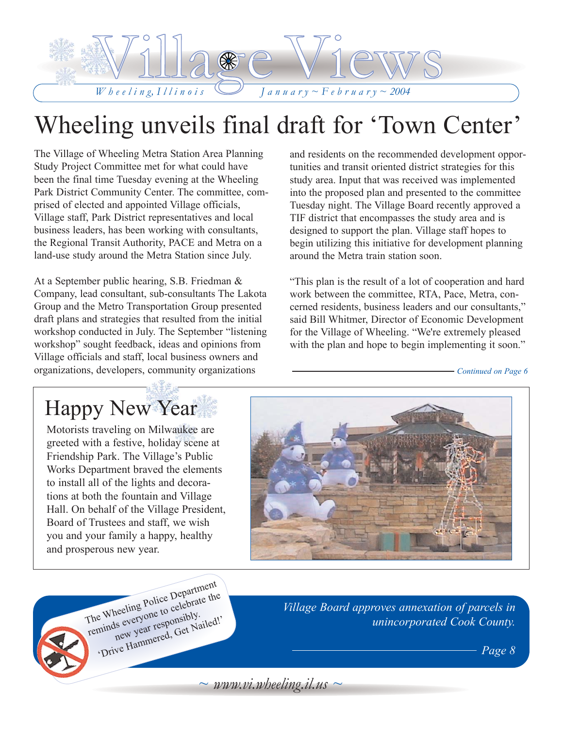

# Wheeling unveils final draft for 'Town Center'

The Village of Wheeling Metra Station Area Planning Study Project Committee met for what could have been the final time Tuesday evening at the Wheeling Park District Community Center. The committee, comprised of elected and appointed Village officials, Village staff, Park District representatives and local business leaders, has been working with consultants, the Regional Transit Authority, PACE and Metra on a land-use study around the Metra Station since July.

At a September public hearing, S.B. Friedman & Company, lead consultant, sub-consultants The Lakota Group and the Metro Transportation Group presented draft plans and strategies that resulted from the initial workshop conducted in July. The September "listening workshop" sought feedback, ideas and opinions from Village officials and staff, local business owners and organizations, developers, community organizations

and residents on the recommended development opportunities and transit oriented district strategies for this study area. Input that was received was implemented into the proposed plan and presented to the committee Tuesday night. The Village Board recently approved a TIF district that encompasses the study area and is designed to support the plan. Village staff hopes to begin utilizing this initiative for development planning around the Metra train station soon.

"This plan is the result of a lot of cooperation and hard work between the committee, RTA, Pace, Metra, concerned residents, business leaders and our consultants," said Bill Whitmer, Director of Economic Development for the Village of Wheeling. "We're extremely pleased with the plan and hope to begin implementing it soon."

*Continued on Page 6*

## Happy New Year

Motorists traveling on Milwaukee are greeted with a festive, holiday scene at Friendship Park. The Village's Public Works Department braved the elements to install all of the lights and decorations at both the fountain and Village Hall. On behalf of the Village President, Board of Trustees and staff, we wish you and your family a happy, healthy and prosperous new year.



The Wheeling Police Department<br>The Wheeling Police Department<br>reminds everyone to celebrate the<br>new year responsibly...... The Wheeling Police Depart<br>The Wheeling Police to celebrate the<br>reminds everyone responsibly.<br>new year responsibly. Drive Hammered, Get Nailed!'

*Village Board approves annexation of parcels in unincorporated Cook County.*

*Page 8*

 $\sim$  *www.vi.wheeling.il.us*  $\sim$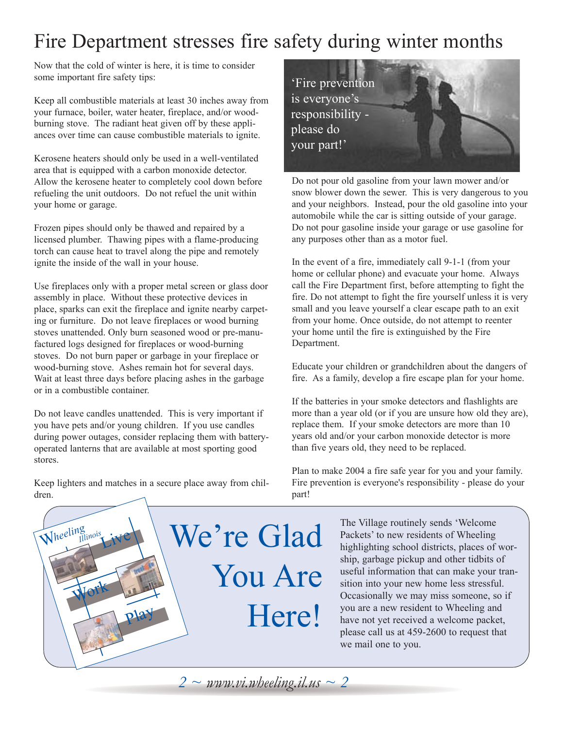## Fire Department stresses fire safety during winter months

Now that the cold of winter is here, it is time to consider some important fire safety tips:

Keep all combustible materials at least 30 inches away from your furnace, boiler, water heater, fireplace, and/or woodburning stove. The radiant heat given off by these appliances over time can cause combustible materials to ignite.

Kerosene heaters should only be used in a well-ventilated area that is equipped with a carbon monoxide detector. Allow the kerosene heater to completely cool down before refueling the unit outdoors. Do not refuel the unit within your home or garage.

Frozen pipes should only be thawed and repaired by a licensed plumber. Thawing pipes with a flame-producing torch can cause heat to travel along the pipe and remotely ignite the inside of the wall in your house.

Use fireplaces only with a proper metal screen or glass door assembly in place. Without these protective devices in place, sparks can exit the fireplace and ignite nearby carpeting or furniture. Do not leave fireplaces or wood burning stoves unattended. Only burn seasoned wood or pre-manufactured logs designed for fireplaces or wood-burning stoves. Do not burn paper or garbage in your fireplace or wood-burning stove. Ashes remain hot for several days. Wait at least three days before placing ashes in the garbage or in a combustible container.

Do not leave candles unattended. This is very important if you have pets and/or young children. If you use candles during power outages, consider replacing them with batteryoperated lanterns that are available at most sporting good stores.

Keep lighters and matches in a secure place away from children.



Do not pour old gasoline from your lawn mower and/or snow blower down the sewer. This is very dangerous to you and your neighbors. Instead, pour the old gasoline into your automobile while the car is sitting outside of your garage. Do not pour gasoline inside your garage or use gasoline for any purposes other than as a motor fuel.

In the event of a fire, immediately call 9-1-1 (from your home or cellular phone) and evacuate your home. Always call the Fire Department first, before attempting to fight the fire. Do not attempt to fight the fire yourself unless it is very small and you leave yourself a clear escape path to an exit from your home. Once outside, do not attempt to reenter your home until the fire is extinguished by the Fire Department.

Educate your children or grandchildren about the dangers of fire. As a family, develop a fire escape plan for your home.

If the batteries in your smoke detectors and flashlights are more than a year old (or if you are unsure how old they are), replace them. If your smoke detectors are more than 10 years old and/or your carbon monoxide detector is more than five years old, they need to be replaced.

Plan to make 2004 a fire safe year for you and your family. Fire prevention is everyone's responsibility - please do your part!



The Village routinely sends 'Welcome Packets' to new residents of Wheeling highlighting school districts, places of worship, garbage pickup and other tidbits of useful information that can make your transition into your new home less stressful. Occasionally we may miss someone, so if you are a new resident to Wheeling and have not yet received a welcome packet, please call us at 459-2600 to request that we mail one to you.

*2 ~ www.vi.wheeling.il.us ~ 2*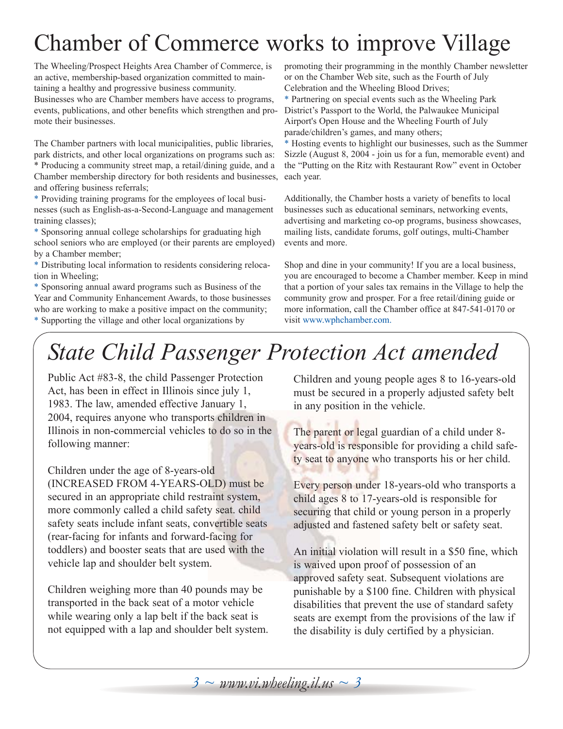# Chamber of Commerce works to improve Village

The Wheeling/Prospect Heights Area Chamber of Commerce, is an active, membership-based organization committed to maintaining a healthy and progressive business community. Businesses who are Chamber members have access to programs, events, publications, and other benefits which strengthen and promote their businesses.

The Chamber partners with local municipalities, public libraries, park districts, and other local organizations on programs such as: \* Producing a community street map, a retail/dining guide, and a Chamber membership directory for both residents and businesses, and offering business referrals;

\* Providing training programs for the employees of local businesses (such as English-as-a-Second-Language and management training classes);

\* Sponsoring annual college scholarships for graduating high school seniors who are employed (or their parents are employed) by a Chamber member;

\* Distributing local information to residents considering relocation in Wheeling;

\* Sponsoring annual award programs such as Business of the Year and Community Enhancement Awards, to those businesses who are working to make a positive impact on the community; \* Supporting the village and other local organizations by

promoting their programming in the monthly Chamber newsletter or on the Chamber Web site, such as the Fourth of July Celebration and the Wheeling Blood Drives;

\* Partnering on special events such as the Wheeling Park District's Passport to the World, the Palwaukee Municipal Airport's Open House and the Wheeling Fourth of July parade/children's games, and many others;

\* Hosting events to highlight our businesses, such as the Summer Sizzle (August 8, 2004 - join us for a fun, memorable event) and the "Putting on the Ritz with Restaurant Row" event in October each year.

Additionally, the Chamber hosts a variety of benefits to local businesses such as educational seminars, networking events, advertising and marketing co-op programs, business showcases, mailing lists, candidate forums, golf outings, multi-Chamber events and more.

Shop and dine in your community! If you are a local business, you are encouraged to become a Chamber member. Keep in mind that a portion of your sales tax remains in the Village to help the community grow and prosper. For a free retail/dining guide or more information, call the Chamber office at 847-541-0170 or visit www.wphchamber.com.

# *State Child Passenger Protection Act amended*

Public Act #83-8, the child Passenger Protection Act, has been in effect in Illinois since july 1, 1983. The law, amended effective January 1, 2004, requires anyone who transports children in Illinois in non-commercial vehicles to do so in the following manner:

Children under the age of 8-years-old

(INCREASED FROM 4-YEARS-OLD) must be secured in an appropriate child restraint system, more commonly called a child safety seat. child safety seats include infant seats, convertible seats (rear-facing for infants and forward-facing for toddlers) and booster seats that are used with the vehicle lap and shoulder belt system.

Children weighing more than 40 pounds may be transported in the back seat of a motor vehicle while wearing only a lap belt if the back seat is not equipped with a lap and shoulder belt system. Children and young people ages 8 to 16-years-old must be secured in a properly adjusted safety belt in any position in the vehicle.

The parent or legal guardian of a child under 8 years-old is responsible for providing a child safety seat to anyone who transports his or her child.

Every person under 18-years-old who transports a child ages 8 to 17-years-old is responsible for securing that child or young person in a properly adjusted and fastened safety belt or safety seat.

An initial violation will result in a \$50 fine, which is waived upon proof of possession of an approved safety seat. Subsequent violations are punishable by a \$100 fine. Children with physical disabilities that prevent the use of standard safety seats are exempt from the provisions of the law if the disability is duly certified by a physician.

*3 ~ www.vi.wheeling.il.us ~ 3*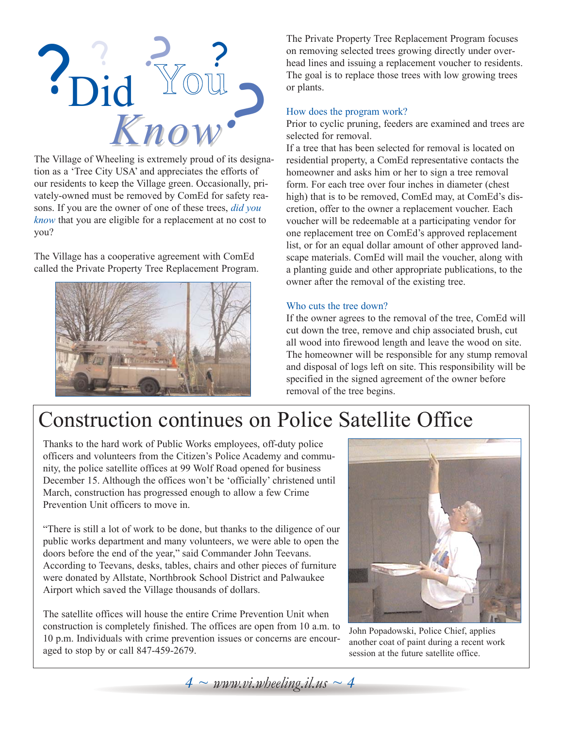

The Village of Wheeling is extremely proud of its designation as a 'Tree City USA' and appreciates the efforts of our residents to keep the Village green. Occasionally, privately-owned must be removed by ComEd for safety reasons. If you are the owner of one of these trees, *did you know* that you are eligible for a replacement at no cost to you?

The Village has a cooperative agreement with ComEd called the Private Property Tree Replacement Program.



The Private Property Tree Replacement Program focuses on removing selected trees growing directly under overhead lines and issuing a replacement voucher to residents. The goal is to replace those trees with low growing trees or plants.

#### How does the program work?

Prior to cyclic pruning, feeders are examined and trees are selected for removal.

If a tree that has been selected for removal is located on residential property, a ComEd representative contacts the homeowner and asks him or her to sign a tree removal form. For each tree over four inches in diameter (chest high) that is to be removed, ComEd may, at ComEd's discretion, offer to the owner a replacement voucher. Each voucher will be redeemable at a participating vendor for one replacement tree on ComEd's approved replacement list, or for an equal dollar amount of other approved landscape materials. ComEd will mail the voucher, along with a planting guide and other appropriate publications, to the owner after the removal of the existing tree.

#### Who cuts the tree down?

If the owner agrees to the removal of the tree, ComEd will cut down the tree, remove and chip associated brush, cut all wood into firewood length and leave the wood on site. The homeowner will be responsible for any stump removal and disposal of logs left on site. This responsibility will be specified in the signed agreement of the owner before removal of the tree begins.

## Construction continues on Police Satellite Office

Thanks to the hard work of Public Works employees, off-duty police officers and volunteers from the Citizen's Police Academy and community, the police satellite offices at 99 Wolf Road opened for business December 15. Although the offices won't be 'officially' christened until March, construction has progressed enough to allow a few Crime Prevention Unit officers to move in.

"There is still a lot of work to be done, but thanks to the diligence of our public works department and many volunteers, we were able to open the doors before the end of the year," said Commander John Teevans. According to Teevans, desks, tables, chairs and other pieces of furniture were donated by Allstate, Northbrook School District and Palwaukee Airport which saved the Village thousands of dollars.

The satellite offices will house the entire Crime Prevention Unit when construction is completely finished. The offices are open from 10 a.m. to 10 p.m. Individuals with crime prevention issues or concerns are encouraged to stop by or call 847-459-2679.



John Popadowski, Police Chief, applies another coat of paint during a recent work session at the future satellite office.

 $4 \sim \text{www.vi.}$ *wheeling.il.us*  $\sim 4$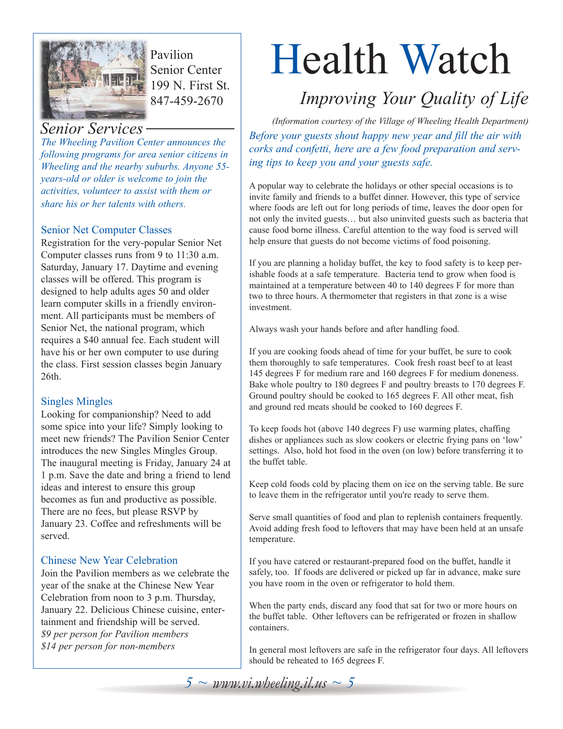

Pavilion Senior Center 199 N. First St. 847-459-2670

*The Wheeling Pavilion Center announces the following programs for area senior citizens in Wheeling and the nearby suburbs. Anyone 55 years-old or older is welcome to join the activities, volunteer to assist with them or share his or her talents with others.*

## Senior Net Computer Classes

Registration for the very-popular Senior Net Computer classes runs from 9 to 11:30 a.m. Saturday, January 17. Daytime and evening classes will be offered. This program is designed to help adults ages 50 and older learn computer skills in a friendly environment. All participants must be members of Senior Net, the national program, which requires a \$40 annual fee. Each student will have his or her own computer to use during the class. First session classes begin January 26th.

## Singles Mingles

Looking for companionship? Need to add some spice into your life? Simply looking to meet new friends? The Pavilion Senior Center introduces the new Singles Mingles Group. The inaugural meeting is Friday, January 24 at 1 p.m. Save the date and bring a friend to lend ideas and interest to ensure this group becomes as fun and productive as possible. There are no fees, but please RSVP by January 23. Coffee and refreshments will be served.

## Chinese New Year Celebration

Join the Pavilion members as we celebrate the year of the snake at the Chinese New Year Celebration from noon to 3 p.m. Thursday, January 22. Delicious Chinese cuisine, entertainment and friendship will be served. *\$9 per person for Pavilion members \$14 per person for non-members*

# Health Watch

## *Improving Your Quality of Life*

*Before your guests shout happy new year and fill the air with corks and confetti, here are a few food preparation and serving tips to keep you and your guests safe. (Information courtesy of the Village of Wheeling Health Department) Senior Services*

> A popular way to celebrate the holidays or other special occasions is to invite family and friends to a buffet dinner. However, this type of service where foods are left out for long periods of time, leaves the door open for not only the invited guests… but also uninvited guests such as bacteria that cause food borne illness. Careful attention to the way food is served will help ensure that guests do not become victims of food poisoning.

If you are planning a holiday buffet, the key to food safety is to keep perishable foods at a safe temperature. Bacteria tend to grow when food is maintained at a temperature between 40 to 140 degrees F for more than two to three hours. A thermometer that registers in that zone is a wise investment.

Always wash your hands before and after handling food.

If you are cooking foods ahead of time for your buffet, be sure to cook them thoroughly to safe temperatures. Cook fresh roast beef to at least 145 degrees F for medium rare and 160 degrees F for medium doneness. Bake whole poultry to 180 degrees F and poultry breasts to 170 degrees F. Ground poultry should be cooked to 165 degrees F. All other meat, fish and ground red meats should be cooked to 160 degrees F.

To keep foods hot (above 140 degrees F) use warming plates, chaffing dishes or appliances such as slow cookers or electric frying pans on 'low' settings. Also, hold hot food in the oven (on low) before transferring it to the buffet table.

Keep cold foods cold by placing them on ice on the serving table. Be sure to leave them in the refrigerator until you're ready to serve them.

Serve small quantities of food and plan to replenish containers frequently. Avoid adding fresh food to leftovers that may have been held at an unsafe temperature.

If you have catered or restaurant-prepared food on the buffet, handle it safely, too. If foods are delivered or picked up far in advance, make sure you have room in the oven or refrigerator to hold them.

When the party ends, discard any food that sat for two or more hours on the buffet table. Other leftovers can be refrigerated or frozen in shallow containers.

In general most leftovers are safe in the refrigerator four days. All leftovers should be reheated to 165 degrees F.

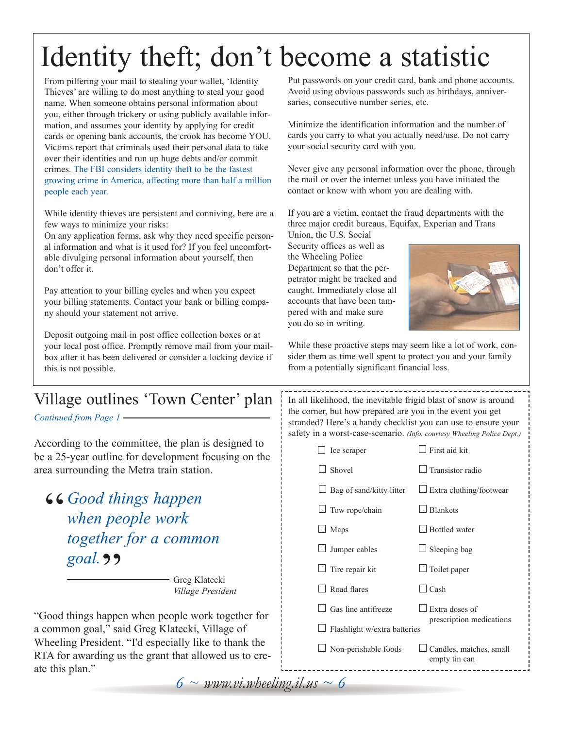# Identity theft; don't become a statistic

From pilfering your mail to stealing your wallet, 'Identity Thieves' are willing to do most anything to steal your good name. When someone obtains personal information about you, either through trickery or using publicly available information, and assumes your identity by applying for credit cards or opening bank accounts, the crook has become YOU. Victims report that criminals used their personal data to take over their identities and run up huge debts and/or commit crimes. The FBI considers identity theft to be the fastest growing crime in America, affecting more than half a million people each year.

While identity thieves are persistent and conniving, here are a few ways to minimize your risks:

On any application forms, ask why they need specific personal information and what is it used for? If you feel uncomfortable divulging personal information about yourself, then don't offer it.

Pay attention to your billing cycles and when you expect your billing statements. Contact your bank or billing company should your statement not arrive.

Deposit outgoing mail in post office collection boxes or at your local post office. Promptly remove mail from your mailbox after it has been delivered or consider a locking device if this is not possible.

Put passwords on your credit card, bank and phone accounts. Avoid using obvious passwords such as birthdays, anniversaries, consecutive number series, etc.

Minimize the identification information and the number of cards you carry to what you actually need/use. Do not carry your social security card with you.

Never give any personal information over the phone, through the mail or over the internet unless you have initiated the contact or know with whom you are dealing with.

If you are a victim, contact the fraud departments with the three major credit bureaus, Equifax, Experian and Trans Union, the U.S. Social

Security offices as well as the Wheeling Police Department so that the perpetrator might be tracked and caught. Immediately close all accounts that have been tampered with and make sure you do so in writing.



While these proactive steps may seem like a lot of work, consider them as time well spent to protect you and your family from a potentially significant financial loss.

## Village outlines 'Town Center' plan

*Continued from Page 1*

According to the committee, the plan is designed to be a 25-year outline for development focusing on the area surrounding the Metra train station.

**66 Good things happen**<br>when people work goal. **99** *when people work together for a common*

Greg Klatecki *Village President*

"Good things happen when people work together for a common goal," said Greg Klatecki, Village of Wheeling President. "I'd especially like to thank the RTA for awarding us the grant that allowed us to create this plan."

In all likelihood, the inevitable frigid blast of snow is around the corner, but how prepared are you in the event you get stranded? Here's a handy checklist you can use to ensure your safety in a worst-case-scenario. *(Info. courtesy Wheeling Police Dept.)*

> $\Box$  Ice scraper  $\Box$  First aid kit  $\Box$  Shovel  $\Box$  Transistor radio

 $\Box$  Bag of sand/kitty litter  $\Box$  Extra clothing/footwear

| $\Box$ Tow rope/chain | $\Box$ Blankets |
|-----------------------|-----------------|
|                       |                 |

 $\Box$  Maps  $\Box$  Bottled water

 $\Box$  Jumper cables  $\Box$  Sleeping bag

 $\Box$  Tire repair kit  $\Box$  Toilet paper

 $\Box$  Road flares  $\Box$  Cash

 $\Box$  Gas line antifreeze  $\Box$  Extra doses of prescription medications

 $\Box$  Flashlight w/extra batteries

 $\Box$  Non-perishable foods  $\Box$  Candles, matches, small

empty tin can

 $6 \sim \textit{www.vi.wbeeling}.$ *il.us*  $\sim 6$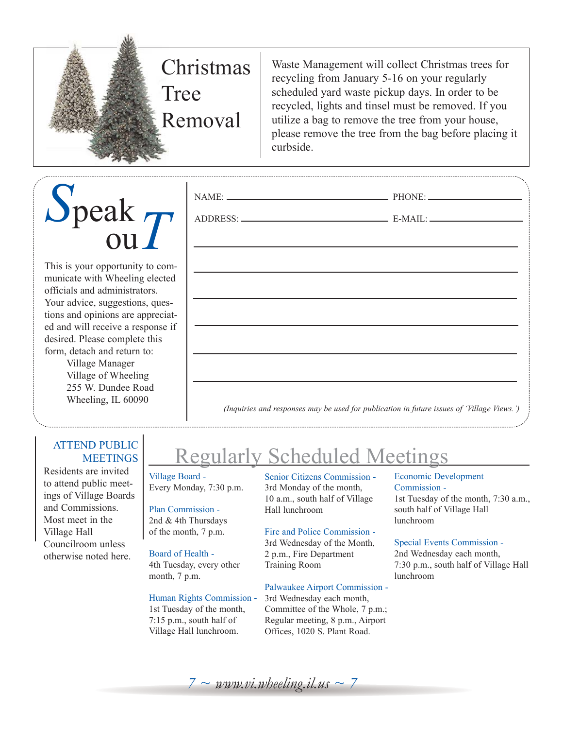

Waste Management will collect Christmas trees for recycling from January 5-16 on your regularly scheduled yard waste pickup days. In order to be recycled, lights and tinsel must be removed. If you utilize a bag to remove the tree from your house, please remove the tree from the bag before placing it curbside.

# *S*peak ou*T*

This is your opportunity to communicate with Wheeling elected officials and administrators. Your advice, suggestions, questions and opinions are appreciated and will receive a response if desired. Please complete this form, detach and return to:

Village Manager Village of Wheeling 255 W. Dundee Road Wheeling, IL 60090

## ATTEND PUBLIC **MEETINGS**

Residents are invited to attend public meetings of Village Boards and Commissions. Most meet in the Village Hall Councilroom unless otherwise noted here.

| (Inquiries and responses may be used for publication in future issues of 'Village Views.') |  |  |  |  |  |  |
|--------------------------------------------------------------------------------------------|--|--|--|--|--|--|

## Regularly Scheduled Meetings

NAME: PHONE:

ADDRESS: E-MAIL:

Village Board - Every Monday, 7:30 p.m.

## Plan Commission -

2nd & 4th Thursdays of the month, 7 p.m.

## Board of Health -

4th Tuesday, every other month, 7 p.m.

### Human Rights Commission -

1st Tuesday of the month, 7:15 p.m., south half of Village Hall lunchroom.

Senior Citizens Commission - 3rd Monday of the month, 10 a.m., south half of Village Hall lunchroom

### Fire and Police Commission -

3rd Wednesday of the Month, 2 p.m., Fire Department Training Room

### Palwaukee Airport Commission -

3rd Wednesday each month, Committee of the Whole, 7 p.m.; Regular meeting, 8 p.m., Airport Offices, 1020 S. Plant Road.

## Economic Development Commission - 1st Tuesday of the month, 7:30 a.m.,

south half of Village Hall lunchroom

#### Special Events Commission -

2nd Wednesday each month, 7:30 p.m., south half of Village Hall lunchroom

 $7 \sim$  *www.vi.wheeling.il.us*  $\sim$  7